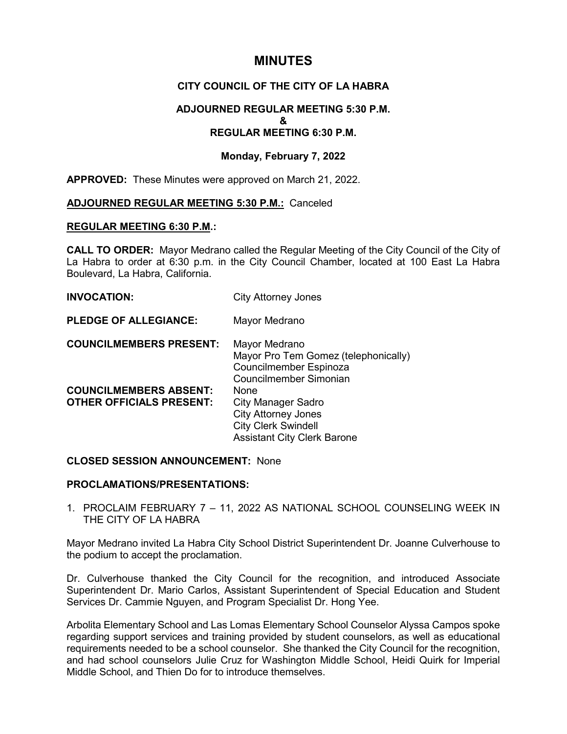# **MINUTES**

## **CITY COUNCIL OF THE CITY OF LA HABRA**

## **ADJOURNED REGULAR MEETING 5:30 P.M. & REGULAR MEETING 6:30 P.M.**

## **Monday, February 7, 2022**

**APPROVED:** These Minutes were approved on March 21, 2022.

## **ADJOURNED REGULAR MEETING 5:30 P.M.:** Canceled

## **REGULAR MEETING 6:30 P.M.:**

**CALL TO ORDER:** Mayor Medrano called the Regular Meeting of the City Council of the City of La Habra to order at 6:30 p.m. in the City Council Chamber, located at 100 East La Habra Boulevard, La Habra, California.

| <b>INVOCATION:</b>                                               | <b>City Attorney Jones</b>                                                                                                   |
|------------------------------------------------------------------|------------------------------------------------------------------------------------------------------------------------------|
| <b>PLEDGE OF ALLEGIANCE:</b>                                     | Mayor Medrano                                                                                                                |
| <b>COUNCILMEMBERS PRESENT:</b>                                   | Mayor Medrano<br>Mayor Pro Tem Gomez (telephonically)<br>Councilmember Espinoza<br>Councilmember Simonian                    |
| <b>COUNCILMEMBERS ABSENT:</b><br><b>OTHER OFFICIALS PRESENT:</b> | None<br>City Manager Sadro<br><b>City Attorney Jones</b><br><b>City Clerk Swindell</b><br><b>Assistant City Clerk Barone</b> |

## **CLOSED SESSION ANNOUNCEMENT:** None

## **PROCLAMATIONS/PRESENTATIONS:**

1. PROCLAIM FEBRUARY 7 – 11, 2022 AS NATIONAL SCHOOL COUNSELING WEEK IN THE CITY OF LA HABRA

Mayor Medrano invited La Habra City School District Superintendent Dr. Joanne Culverhouse to the podium to accept the proclamation.

Dr. Culverhouse thanked the City Council for the recognition, and introduced Associate Superintendent Dr. Mario Carlos, Assistant Superintendent of Special Education and Student Services Dr. Cammie Nguyen, and Program Specialist Dr. Hong Yee.

Arbolita Elementary School and Las Lomas Elementary School Counselor Alyssa Campos spoke regarding support services and training provided by student counselors, as well as educational requirements needed to be a school counselor. She thanked the City Council for the recognition, and had school counselors Julie Cruz for Washington Middle School, Heidi Quirk for Imperial Middle School, and Thien Do for to introduce themselves.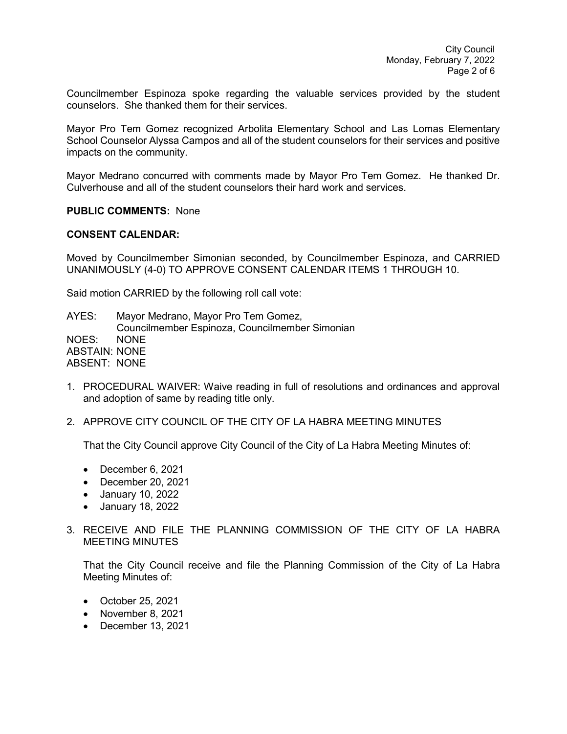Councilmember Espinoza spoke regarding the valuable services provided by the student counselors. She thanked them for their services.

Mayor Pro Tem Gomez recognized Arbolita Elementary School and Las Lomas Elementary School Counselor Alyssa Campos and all of the student counselors for their services and positive impacts on the community.

Mayor Medrano concurred with comments made by Mayor Pro Tem Gomez. He thanked Dr. Culverhouse and all of the student counselors their hard work and services.

#### **PUBLIC COMMENTS:** None

#### **CONSENT CALENDAR:**

Moved by Councilmember Simonian seconded, by Councilmember Espinoza, and CARRIED UNANIMOUSLY (4-0) TO APPROVE CONSENT CALENDAR ITEMS 1 THROUGH 10.

Said motion CARRIED by the following roll call vote:

AYES: Mayor Medrano, Mayor Pro Tem Gomez, Councilmember Espinoza, Councilmember Simonian NOES: NONE ABSTAIN: NONE ABSENT: NONE

- 1. PROCEDURAL WAIVER: Waive reading in full of resolutions and ordinances and approval and adoption of same by reading title only.
- 2. APPROVE CITY COUNCIL OF THE CITY OF LA HABRA MEETING MINUTES

That the City Council approve City Council of the City of La Habra Meeting Minutes of:

- December 6, 2021
- December 20, 2021
- January 10, 2022
- January 18, 2022
- 3. RECEIVE AND FILE THE PLANNING COMMISSION OF THE CITY OF LA HABRA MEETING MINUTES

That the City Council receive and file the Planning Commission of the City of La Habra Meeting Minutes of:

- October 25, 2021
- November 8, 2021
- December 13, 2021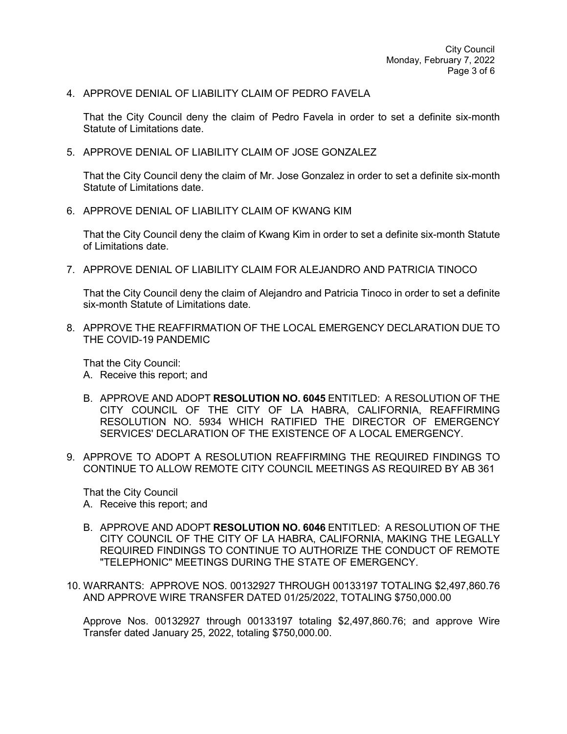4. APPROVE DENIAL OF LIABILITY CLAIM OF PEDRO FAVELA

That the City Council deny the claim of Pedro Favela in order to set a definite six-month Statute of Limitations date.

5. APPROVE DENIAL OF LIABILITY CLAIM OF JOSE GONZALEZ

That the City Council deny the claim of Mr. Jose Gonzalez in order to set a definite six-month Statute of Limitations date.

6. APPROVE DENIAL OF LIABILITY CLAIM OF KWANG KIM

That the City Council deny the claim of Kwang Kim in order to set a definite six-month Statute of Limitations date.

7. APPROVE DENIAL OF LIABILITY CLAIM FOR ALEJANDRO AND PATRICIA TINOCO

That the City Council deny the claim of Alejandro and Patricia Tinoco in order to set a definite six-month Statute of Limitations date.

8. APPROVE THE REAFFIRMATION OF THE LOCAL EMERGENCY DECLARATION DUE TO THE COVID-19 PANDEMIC

That the City Council:

- A. Receive this report; and
- B. APPROVE AND ADOPT **RESOLUTION NO. 6045** ENTITLED: A RESOLUTION OF THE CITY COUNCIL OF THE CITY OF LA HABRA, CALIFORNIA, REAFFIRMING RESOLUTION NO. 5934 WHICH RATIFIED THE DIRECTOR OF EMERGENCY SERVICES' DECLARATION OF THE EXISTENCE OF A LOCAL EMERGENCY.
- 9. APPROVE TO ADOPT A RESOLUTION REAFFIRMING THE REQUIRED FINDINGS TO CONTINUE TO ALLOW REMOTE CITY COUNCIL MEETINGS AS REQUIRED BY AB 361

That the City Council

- A. Receive this report; and
- B. APPROVE AND ADOPT **RESOLUTION NO. 6046** ENTITLED: A RESOLUTION OF THE CITY COUNCIL OF THE CITY OF LA HABRA, CALIFORNIA, MAKING THE LEGALLY REQUIRED FINDINGS TO CONTINUE TO AUTHORIZE THE CONDUCT OF REMOTE "TELEPHONIC" MEETINGS DURING THE STATE OF EMERGENCY.
- 10. WARRANTS: APPROVE NOS. 00132927 THROUGH 00133197 TOTALING \$2,497,860.76 AND APPROVE WIRE TRANSFER DATED 01/25/2022, TOTALING \$750,000.00

Approve Nos. 00132927 through 00133197 totaling \$2,497,860.76; and approve Wire Transfer dated January 25, 2022, totaling \$750,000.00.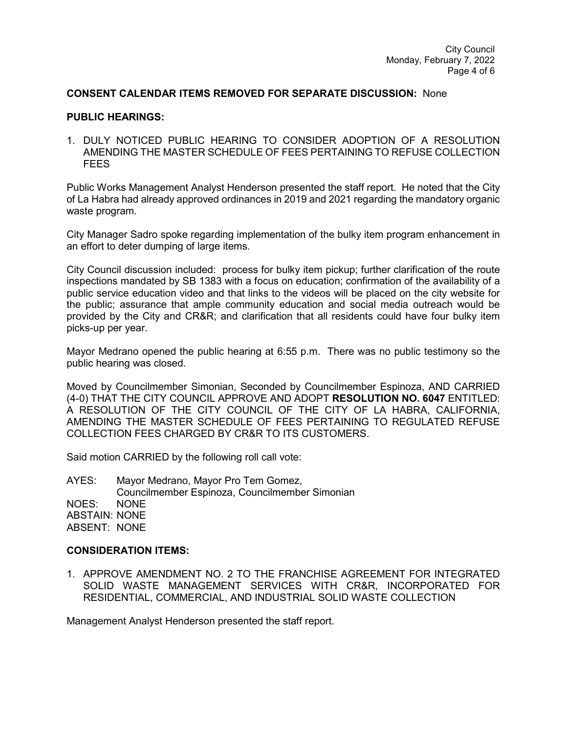## **CONSENT CALENDAR ITEMS REMOVED FOR SEPARATE DISCUSSION:** None

## **PUBLIC HEARINGS:**

1. DULY NOTICED PUBLIC HEARING TO CONSIDER ADOPTION OF A RESOLUTION AMENDING THE MASTER SCHEDULE OF FEES PERTAINING TO REFUSE COLLECTION **FEES** 

Public Works Management Analyst Henderson presented the staff report. He noted that the City of La Habra had already approved ordinances in 2019 and 2021 regarding the mandatory organic waste program.

City Manager Sadro spoke regarding implementation of the bulky item program enhancement in an effort to deter dumping of large items.

City Council discussion included: process for bulky item pickup; further clarification of the route inspections mandated by SB 1383 with a focus on education; confirmation of the availability of a public service education video and that links to the videos will be placed on the city website for the public; assurance that ample community education and social media outreach would be provided by the City and CR&R; and clarification that all residents could have four bulky item picks-up per year.

Mayor Medrano opened the public hearing at 6:55 p.m. There was no public testimony so the public hearing was closed.

Moved by Councilmember Simonian, Seconded by Councilmember Espinoza, AND CARRIED (4-0) THAT THE CITY COUNCIL APPROVE AND ADOPT **RESOLUTION NO. 6047** ENTITLED: A RESOLUTION OF THE CITY COUNCIL OF THE CITY OF LA HABRA, CALIFORNIA, AMENDING THE MASTER SCHEDULE OF FEES PERTAINING TO REGULATED REFUSE COLLECTION FEES CHARGED BY CR&R TO ITS CUSTOMERS.

Said motion CARRIED by the following roll call vote:

AYES: Mayor Medrano, Mayor Pro Tem Gomez, Councilmember Espinoza, Councilmember Simonian NOES: NONE ABSTAIN: NONE ABSENT: NONE

## **CONSIDERATION ITEMS:**

1. APPROVE AMENDMENT NO. 2 TO THE FRANCHISE AGREEMENT FOR INTEGRATED SOLID WASTE MANAGEMENT SERVICES WITH CR&R, INCORPORATED FOR RESIDENTIAL, COMMERCIAL, AND INDUSTRIAL SOLID WASTE COLLECTION

Management Analyst Henderson presented the staff report.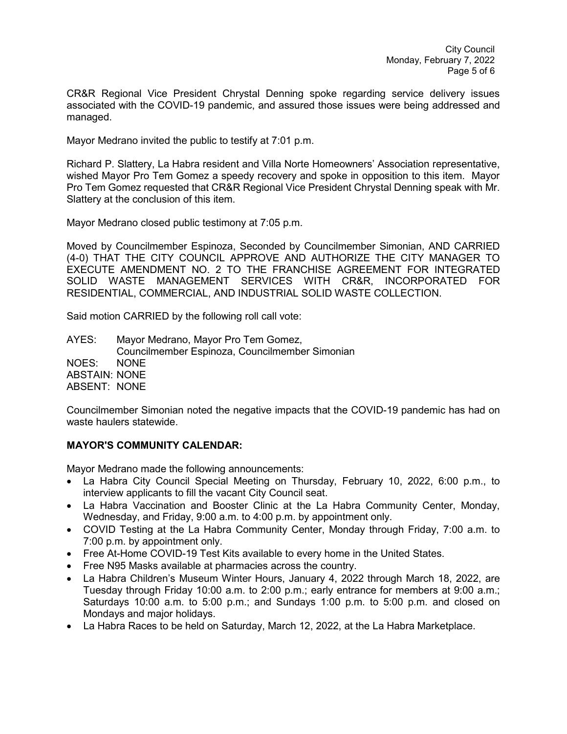CR&R Regional Vice President Chrystal Denning spoke regarding service delivery issues associated with the COVID-19 pandemic, and assured those issues were being addressed and managed.

Mayor Medrano invited the public to testify at 7:01 p.m.

Richard P. Slattery, La Habra resident and Villa Norte Homeowners' Association representative, wished Mayor Pro Tem Gomez a speedy recovery and spoke in opposition to this item. Mayor Pro Tem Gomez requested that CR&R Regional Vice President Chrystal Denning speak with Mr. Slattery at the conclusion of this item.

Mayor Medrano closed public testimony at 7:05 p.m.

Moved by Councilmember Espinoza, Seconded by Councilmember Simonian, AND CARRIED (4-0) THAT THE CITY COUNCIL APPROVE AND AUTHORIZE THE CITY MANAGER TO EXECUTE AMENDMENT NO. 2 TO THE FRANCHISE AGREEMENT FOR INTEGRATED SOLID WASTE MANAGEMENT SERVICES WITH CR&R, INCORPORATED FOR RESIDENTIAL, COMMERCIAL, AND INDUSTRIAL SOLID WASTE COLLECTION.

Said motion CARRIED by the following roll call vote:

AYES: Mayor Medrano, Mayor Pro Tem Gomez, Councilmember Espinoza, Councilmember Simonian NOES: NONE ABSTAIN: NONE ABSENT: NONE

Councilmember Simonian noted the negative impacts that the COVID-19 pandemic has had on waste haulers statewide.

## **MAYOR'S COMMUNITY CALENDAR:**

Mayor Medrano made the following announcements:

- La Habra City Council Special Meeting on Thursday, February 10, 2022, 6:00 p.m., to interview applicants to fill the vacant City Council seat.
- La Habra Vaccination and Booster Clinic at the La Habra Community Center, Monday, Wednesday, and Friday, 9:00 a.m. to 4:00 p.m. by appointment only.
- COVID Testing at the La Habra Community Center, Monday through Friday, 7:00 a.m. to 7:00 p.m. by appointment only.
- Free At-Home COVID-19 Test Kits available to every home in the United States.
- Free N95 Masks available at pharmacies across the country.
- La Habra Children's Museum Winter Hours, January 4, 2022 through March 18, 2022, are Tuesday through Friday 10:00 a.m. to 2:00 p.m.; early entrance for members at 9:00 a.m.; Saturdays 10:00 a.m. to 5:00 p.m.; and Sundays 1:00 p.m. to 5:00 p.m. and closed on Mondays and major holidays.
- La Habra Races to be held on Saturday, March 12, 2022, at the La Habra Marketplace.